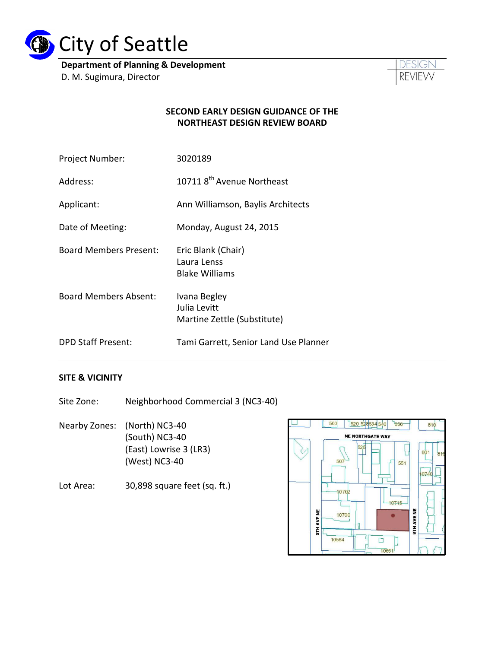

**Department of Planning & Development** D. M. Sugimura, Director



#### **SECOND EARLY DESIGN GUIDANCE OF THE NORTHEAST DESIGN REVIEW BOARD**

| Project Number:               | 3020189                                                     |
|-------------------------------|-------------------------------------------------------------|
| Address:                      | 10711 8 <sup>th</sup> Avenue Northeast                      |
| Applicant:                    | Ann Williamson, Baylis Architects                           |
| Date of Meeting:              | Monday, August 24, 2015                                     |
| <b>Board Members Present:</b> | Eric Blank (Chair)<br>Laura Lenss<br><b>Blake Williams</b>  |
| <b>Board Members Absent:</b>  | Ivana Begley<br>Julia Levitt<br>Martine Zettle (Substitute) |
| <b>DPD Staff Present:</b>     | Tami Garrett, Senior Land Use Planner                       |

### **SITE & VICINITY**

Site Zone: Neighborhood Commercial 3 (NC3-40)

Nearby Zones: (North) NC3-40 (South) NC3-40 (East) Lowrise 3 (LR3) (West) NC3-40

Lot Area: 30,898 square feet (sq. ft.)

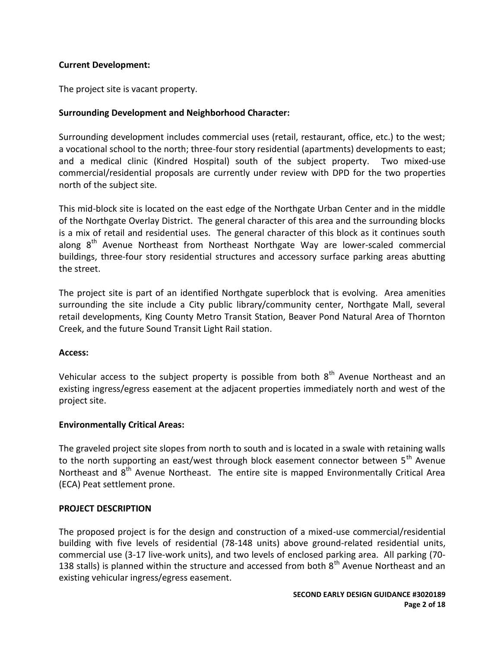### **Current Development:**

The project site is vacant property.

### **Surrounding Development and Neighborhood Character:**

Surrounding development includes commercial uses (retail, restaurant, office, etc.) to the west; a vocational school to the north; three-four story residential (apartments) developments to east; and a medical clinic (Kindred Hospital) south of the subject property. Two mixed-use commercial/residential proposals are currently under review with DPD for the two properties north of the subject site.

This mid-block site is located on the east edge of the Northgate Urban Center and in the middle of the Northgate Overlay District. The general character of this area and the surrounding blocks is a mix of retail and residential uses. The general character of this block as it continues south along 8<sup>th</sup> Avenue Northeast from Northeast Northgate Way are lower-scaled commercial buildings, three-four story residential structures and accessory surface parking areas abutting the street.

The project site is part of an identified Northgate superblock that is evolving. Area amenities surrounding the site include a City public library/community center, Northgate Mall, several retail developments, King County Metro Transit Station, Beaver Pond Natural Area of Thornton Creek, and the future Sound Transit Light Rail station.

### **Access:**

Vehicular access to the subject property is possible from both  $8<sup>th</sup>$  Avenue Northeast and an existing ingress/egress easement at the adjacent properties immediately north and west of the project site.

### **Environmentally Critical Areas:**

The graveled project site slopes from north to south and is located in a swale with retaining walls to the north supporting an east/west through block easement connector between  $5<sup>th</sup>$  Avenue Northeast and 8<sup>th</sup> Avenue Northeast. The entire site is mapped Environmentally Critical Area (ECA) Peat settlement prone.

### **PROJECT DESCRIPTION**

The proposed project is for the design and construction of a mixed-use commercial/residential building with five levels of residential (78-148 units) above ground-related residential units, commercial use (3-17 live-work units), and two levels of enclosed parking area. All parking (70- 138 stalls) is planned within the structure and accessed from both  $8<sup>th</sup>$  Avenue Northeast and an existing vehicular ingress/egress easement.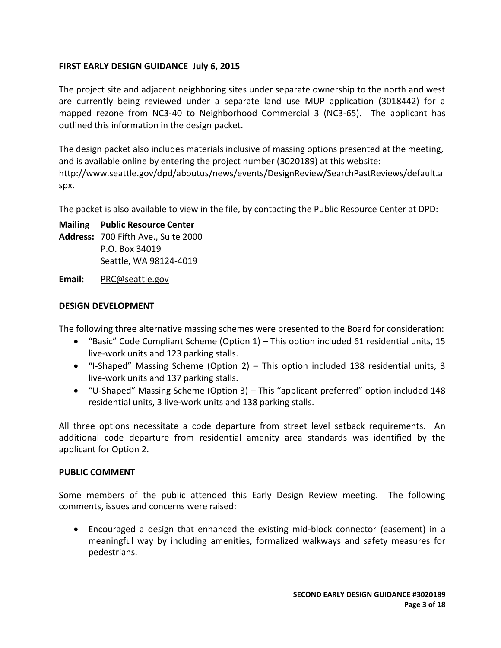### **FIRST EARLY DESIGN GUIDANCE July 6, 2015**

The project site and adjacent neighboring sites under separate ownership to the north and west are currently being reviewed under a separate land use MUP application (3018442) for a mapped rezone from NC3-40 to Neighborhood Commercial 3 (NC3-65). The applicant has outlined this information in the design packet.

The design packet also includes materials inclusive of massing options presented at the meeting, and is available online by entering the project number (3020189) at this website: [http://www.seattle.gov/dpd/aboutus/news/events/DesignReview/SearchPastReviews/default.a](http://www.seattle.gov/dpd/aboutus/news/events/DesignReview/SearchPastReviews/default.aspx) [spx.](http://www.seattle.gov/dpd/aboutus/news/events/DesignReview/SearchPastReviews/default.aspx)

The packet is also available to view in the file, by contacting the Public Resource Center at DPD:

# **Mailing Public Resource Center**

**Address:** 700 Fifth Ave., Suite 2000 P.O. Box 34019 Seattle, WA 98124-4019

**Email:** [PRC@seattle.gov](mailto:PRC@seattle.gov)

### **DESIGN DEVELOPMENT**

The following three alternative massing schemes were presented to the Board for consideration:

- "Basic" Code Compliant Scheme (Option 1) This option included 61 residential units, 15 live-work units and 123 parking stalls.
- "I-Shaped" Massing Scheme (Option 2) This option included 138 residential units, 3 live-work units and 137 parking stalls.
- "U-Shaped" Massing Scheme (Option 3) This "applicant preferred" option included 148 residential units, 3 live-work units and 138 parking stalls.

All three options necessitate a code departure from street level setback requirements. An additional code departure from residential amenity area standards was identified by the applicant for Option 2.

### **PUBLIC COMMENT**

Some members of the public attended this Early Design Review meeting. The following comments, issues and concerns were raised:

 Encouraged a design that enhanced the existing mid-block connector (easement) in a meaningful way by including amenities, formalized walkways and safety measures for pedestrians.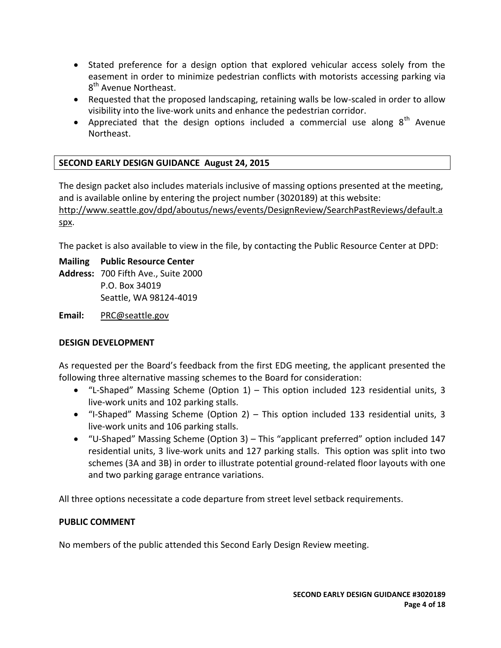- Stated preference for a design option that explored vehicular access solely from the easement in order to minimize pedestrian conflicts with motorists accessing parking via 8<sup>th</sup> Avenue Northeast.
- Requested that the proposed landscaping, retaining walls be low-scaled in order to allow visibility into the live-work units and enhance the pedestrian corridor.
- Appreciated that the design options included a commercial use along  $8<sup>th</sup>$  Avenue Northeast.

# **SECOND EARLY DESIGN GUIDANCE August 24, 2015**

The design packet also includes materials inclusive of massing options presented at the meeting, and is available online by entering the project number (3020189) at this website: [http://www.seattle.gov/dpd/aboutus/news/events/DesignReview/SearchPastReviews/default.a](http://www.seattle.gov/dpd/aboutus/news/events/DesignReview/SearchPastReviews/default.aspx) [spx.](http://www.seattle.gov/dpd/aboutus/news/events/DesignReview/SearchPastReviews/default.aspx)

The packet is also available to view in the file, by contacting the Public Resource Center at DPD:

**Mailing Public Resource Center**

**Address:** 700 Fifth Ave., Suite 2000 P.O. Box 34019 Seattle, WA 98124-4019

**Email:** [PRC@seattle.gov](mailto:PRC@seattle.gov)

### **DESIGN DEVELOPMENT**

As requested per the Board's feedback from the first EDG meeting, the applicant presented the following three alternative massing schemes to the Board for consideration:

- "L-Shaped" Massing Scheme (Option 1) This option included 123 residential units, 3 live-work units and 102 parking stalls.
- "I-Shaped" Massing Scheme (Option 2) This option included 133 residential units, 3 live-work units and 106 parking stalls.
- "U-Shaped" Massing Scheme (Option 3) This "applicant preferred" option included 147 residential units, 3 live-work units and 127 parking stalls. This option was split into two schemes (3A and 3B) in order to illustrate potential ground-related floor layouts with one and two parking garage entrance variations.

All three options necessitate a code departure from street level setback requirements.

### **PUBLIC COMMENT**

No members of the public attended this Second Early Design Review meeting.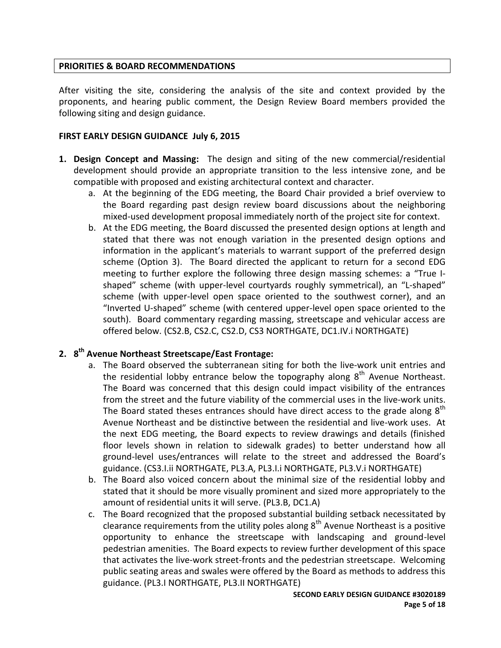### **PRIORITIES & BOARD RECOMMENDATIONS**

After visiting the site, considering the analysis of the site and context provided by the proponents, and hearing public comment, the Design Review Board members provided the following siting and design guidance.

### **FIRST EARLY DESIGN GUIDANCE July 6, 2015**

- **1. Design Concept and Massing:** The design and siting of the new commercial/residential development should provide an appropriate transition to the less intensive zone, and be compatible with proposed and existing architectural context and character.
	- a. At the beginning of the EDG meeting, the Board Chair provided a brief overview to the Board regarding past design review board discussions about the neighboring mixed-used development proposal immediately north of the project site for context.
	- b. At the EDG meeting, the Board discussed the presented design options at length and stated that there was not enough variation in the presented design options and information in the applicant's materials to warrant support of the preferred design scheme (Option 3). The Board directed the applicant to return for a second EDG meeting to further explore the following three design massing schemes: a "True Ishaped" scheme (with upper-level courtyards roughly symmetrical), an "L-shaped" scheme (with upper-level open space oriented to the southwest corner), and an "Inverted U-shaped" scheme (with centered upper-level open space oriented to the south). Board commentary regarding massing, streetscape and vehicular access are offered below. (CS2.B, CS2.C, CS2.D, CS3 NORTHGATE, DC1.IV.i NORTHGATE)

# **2. 8 th Avenue Northeast Streetscape/East Frontage:**

- a. The Board observed the subterranean siting for both the live-work unit entries and the residential lobby entrance below the topography along  $8<sup>th</sup>$  Avenue Northeast. The Board was concerned that this design could impact visibility of the entrances from the street and the future viability of the commercial uses in the live-work units. The Board stated theses entrances should have direct access to the grade along  $8<sup>th</sup>$ Avenue Northeast and be distinctive between the residential and live-work uses. At the next EDG meeting, the Board expects to review drawings and details (finished floor levels shown in relation to sidewalk grades) to better understand how all ground-level uses/entrances will relate to the street and addressed the Board's guidance. (CS3.I.ii NORTHGATE, PL3.A, PL3.I.i NORTHGATE, PL3.V.i NORTHGATE)
- b. The Board also voiced concern about the minimal size of the residential lobby and stated that it should be more visually prominent and sized more appropriately to the amount of residential units it will serve. (PL3.B, DC1.A)
- c. The Board recognized that the proposed substantial building setback necessitated by clearance requirements from the utility poles along  $8<sup>th</sup>$  Avenue Northeast is a positive opportunity to enhance the streetscape with landscaping and ground-level pedestrian amenities. The Board expects to review further development of this space that activates the live-work street-fronts and the pedestrian streetscape. Welcoming public seating areas and swales were offered by the Board as methods to address this guidance. (PL3.I NORTHGATE, PL3.II NORTHGATE)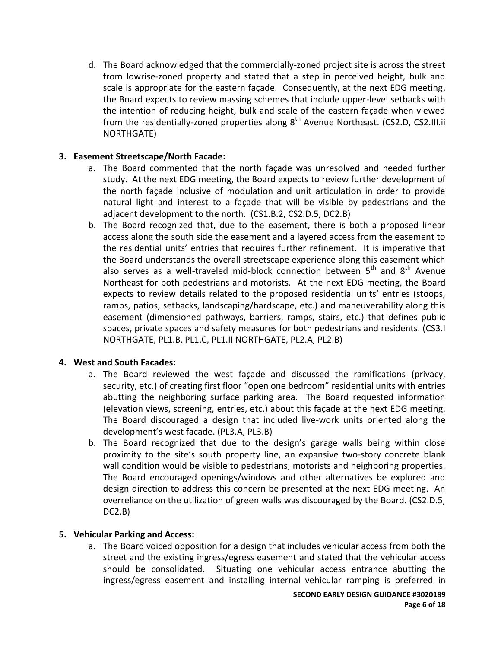d. The Board acknowledged that the commercially-zoned project site is across the street from lowrise-zoned property and stated that a step in perceived height, bulk and scale is appropriate for the eastern façade. Consequently, at the next EDG meeting, the Board expects to review massing schemes that include upper-level setbacks with the intention of reducing height, bulk and scale of the eastern façade when viewed from the residentially-zoned properties along  $8<sup>th</sup>$  Avenue Northeast. (CS2.D, CS2.III.ii NORTHGATE)

# **3. Easement Streetscape/North Facade:**

- a. The Board commented that the north façade was unresolved and needed further study. At the next EDG meeting, the Board expects to review further development of the north façade inclusive of modulation and unit articulation in order to provide natural light and interest to a façade that will be visible by pedestrians and the adjacent development to the north. (CS1.B.2, CS2.D.5, DC2.B)
- b. The Board recognized that, due to the easement, there is both a proposed linear access along the south side the easement and a layered access from the easement to the residential units' entries that requires further refinement. It is imperative that the Board understands the overall streetscape experience along this easement which also serves as a well-traveled mid-block connection between  $5<sup>th</sup>$  and  $8<sup>th</sup>$  Avenue Northeast for both pedestrians and motorists. At the next EDG meeting, the Board expects to review details related to the proposed residential units' entries (stoops, ramps, patios, setbacks, landscaping/hardscape, etc.) and maneuverability along this easement (dimensioned pathways, barriers, ramps, stairs, etc.) that defines public spaces, private spaces and safety measures for both pedestrians and residents. (CS3.I NORTHGATE, PL1.B, PL1.C, PL1.II NORTHGATE, PL2.A, PL2.B)

# **4. West and South Facades:**

- a. The Board reviewed the west façade and discussed the ramifications (privacy, security, etc.) of creating first floor "open one bedroom" residential units with entries abutting the neighboring surface parking area. The Board requested information (elevation views, screening, entries, etc.) about this façade at the next EDG meeting. The Board discouraged a design that included live-work units oriented along the development's west facade. (PL3.A, PL3.B)
- b. The Board recognized that due to the design's garage walls being within close proximity to the site's south property line, an expansive two-story concrete blank wall condition would be visible to pedestrians, motorists and neighboring properties. The Board encouraged openings/windows and other alternatives be explored and design direction to address this concern be presented at the next EDG meeting. An overreliance on the utilization of green walls was discouraged by the Board. (CS2.D.5, DC2.B)

### **5. Vehicular Parking and Access:**

a. The Board voiced opposition for a design that includes vehicular access from both the street and the existing ingress/egress easement and stated that the vehicular access should be consolidated. Situating one vehicular access entrance abutting the ingress/egress easement and installing internal vehicular ramping is preferred in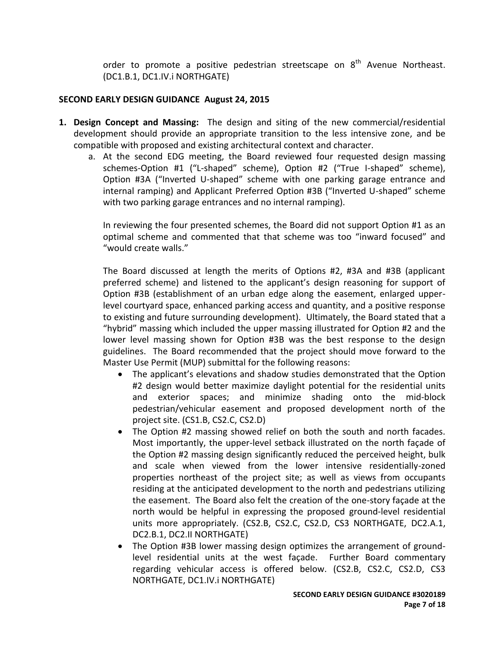order to promote a positive pedestrian streetscape on  $8<sup>th</sup>$  Avenue Northeast. (DC1.B.1, DC1.IV.i NORTHGATE)

### **SECOND EARLY DESIGN GUIDANCE August 24, 2015**

- **1. Design Concept and Massing:** The design and siting of the new commercial/residential development should provide an appropriate transition to the less intensive zone, and be compatible with proposed and existing architectural context and character.
	- a. At the second EDG meeting, the Board reviewed four requested design massing schemes-Option #1 ("L-shaped" scheme), Option #2 ("True I-shaped" scheme), Option #3A ("Inverted U-shaped" scheme with one parking garage entrance and internal ramping) and Applicant Preferred Option #3B ("Inverted U-shaped" scheme with two parking garage entrances and no internal ramping).

In reviewing the four presented schemes, the Board did not support Option #1 as an optimal scheme and commented that that scheme was too "inward focused" and "would create walls."

The Board discussed at length the merits of Options #2, #3A and #3B (applicant preferred scheme) and listened to the applicant's design reasoning for support of Option #3B (establishment of an urban edge along the easement, enlarged upperlevel courtyard space, enhanced parking access and quantity, and a positive response to existing and future surrounding development). Ultimately, the Board stated that a "hybrid" massing which included the upper massing illustrated for Option #2 and the lower level massing shown for Option #3B was the best response to the design guidelines. The Board recommended that the project should move forward to the Master Use Permit (MUP) submittal for the following reasons:

- The applicant's elevations and shadow studies demonstrated that the Option #2 design would better maximize daylight potential for the residential units and exterior spaces; and minimize shading onto the mid-block pedestrian/vehicular easement and proposed development north of the project site. (CS1.B, CS2.C, CS2.D)
- The Option #2 massing showed relief on both the south and north facades. Most importantly, the upper-level setback illustrated on the north façade of the Option #2 massing design significantly reduced the perceived height, bulk and scale when viewed from the lower intensive residentially-zoned properties northeast of the project site; as well as views from occupants residing at the anticipated development to the north and pedestrians utilizing the easement. The Board also felt the creation of the one-story façade at the north would be helpful in expressing the proposed ground-level residential units more appropriately. (CS2.B, CS2.C, CS2.D, CS3 NORTHGATE, DC2.A.1, DC2.B.1, DC2.II NORTHGATE)
- The Option #3B lower massing design optimizes the arrangement of groundlevel residential units at the west façade. Further Board commentary regarding vehicular access is offered below. (CS2.B, CS2.C, CS2.D, CS3 NORTHGATE, DC1.IV.i NORTHGATE)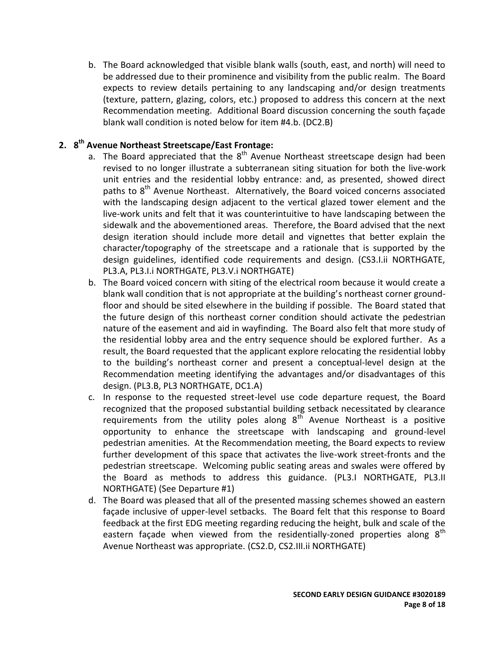b. The Board acknowledged that visible blank walls (south, east, and north) will need to be addressed due to their prominence and visibility from the public realm. The Board expects to review details pertaining to any landscaping and/or design treatments (texture, pattern, glazing, colors, etc.) proposed to address this concern at the next Recommendation meeting. Additional Board discussion concerning the south façade blank wall condition is noted below for item #4.b. (DC2.B)

# **2. 8 th Avenue Northeast Streetscape/East Frontage:**

- a. The Board appreciated that the 8<sup>th</sup> Avenue Northeast streetscape design had been revised to no longer illustrate a subterranean siting situation for both the live-work unit entries and the residential lobby entrance: and, as presented, showed direct paths to 8<sup>th</sup> Avenue Northeast. Alternatively, the Board voiced concerns associated with the landscaping design adjacent to the vertical glazed tower element and the live-work units and felt that it was counterintuitive to have landscaping between the sidewalk and the abovementioned areas. Therefore, the Board advised that the next design iteration should include more detail and vignettes that better explain the character/topography of the streetscape and a rationale that is supported by the design guidelines, identified code requirements and design. (CS3.I.ii NORTHGATE, PL3.A, PL3.I.i NORTHGATE, PL3.V.i NORTHGATE)
- b. The Board voiced concern with siting of the electrical room because it would create a blank wall condition that is not appropriate at the building's northeast corner groundfloor and should be sited elsewhere in the building if possible. The Board stated that the future design of this northeast corner condition should activate the pedestrian nature of the easement and aid in wayfinding. The Board also felt that more study of the residential lobby area and the entry sequence should be explored further. As a result, the Board requested that the applicant explore relocating the residential lobby to the building's northeast corner and present a conceptual-level design at the Recommendation meeting identifying the advantages and/or disadvantages of this design. (PL3.B, PL3 NORTHGATE, DC1.A)
- c. In response to the requested street-level use code departure request, the Board recognized that the proposed substantial building setback necessitated by clearance requirements from the utility poles along  $8^{th}$  Avenue Northeast is a positive opportunity to enhance the streetscape with landscaping and ground-level pedestrian amenities. At the Recommendation meeting, the Board expects to review further development of this space that activates the live-work street-fronts and the pedestrian streetscape. Welcoming public seating areas and swales were offered by the Board as methods to address this guidance. (PL3.I NORTHGATE, PL3.II NORTHGATE) (See Departure #1)
- d. The Board was pleased that all of the presented massing schemes showed an eastern façade inclusive of upper-level setbacks. The Board felt that this response to Board feedback at the first EDG meeting regarding reducing the height, bulk and scale of the eastern façade when viewed from the residentially-zoned properties along  $8<sup>th</sup>$ Avenue Northeast was appropriate. (CS2.D, CS2.III.ii NORTHGATE)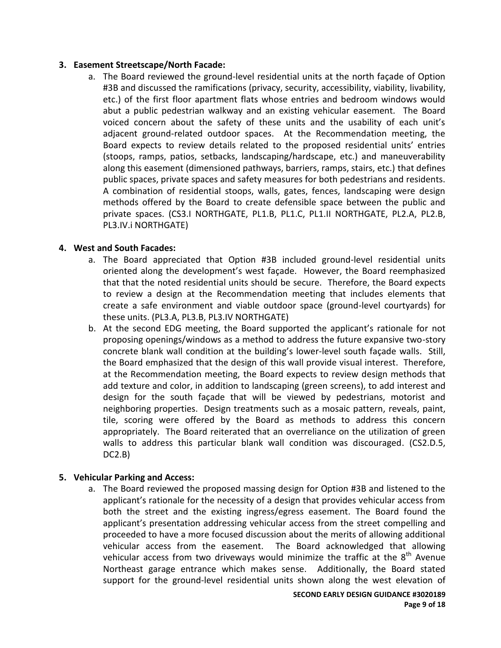### **3. Easement Streetscape/North Facade:**

a. The Board reviewed the ground-level residential units at the north façade of Option #3B and discussed the ramifications (privacy, security, accessibility, viability, livability, etc.) of the first floor apartment flats whose entries and bedroom windows would abut a public pedestrian walkway and an existing vehicular easement. The Board voiced concern about the safety of these units and the usability of each unit's adjacent ground-related outdoor spaces. At the Recommendation meeting, the Board expects to review details related to the proposed residential units' entries (stoops, ramps, patios, setbacks, landscaping/hardscape, etc.) and maneuverability along this easement (dimensioned pathways, barriers, ramps, stairs, etc.) that defines public spaces, private spaces and safety measures for both pedestrians and residents. A combination of residential stoops, walls, gates, fences, landscaping were design methods offered by the Board to create defensible space between the public and private spaces. (CS3.I NORTHGATE, PL1.B, PL1.C, PL1.II NORTHGATE, PL2.A, PL2.B, PL3.IV.i NORTHGATE)

### **4. West and South Facades:**

- a. The Board appreciated that Option #3B included ground-level residential units oriented along the development's west façade. However, the Board reemphasized that that the noted residential units should be secure. Therefore, the Board expects to review a design at the Recommendation meeting that includes elements that create a safe environment and viable outdoor space (ground-level courtyards) for these units. (PL3.A, PL3.B, PL3.IV NORTHGATE)
- b. At the second EDG meeting, the Board supported the applicant's rationale for not proposing openings/windows as a method to address the future expansive two-story concrete blank wall condition at the building's lower-level south façade walls. Still, the Board emphasized that the design of this wall provide visual interest. Therefore, at the Recommendation meeting, the Board expects to review design methods that add texture and color, in addition to landscaping (green screens), to add interest and design for the south façade that will be viewed by pedestrians, motorist and neighboring properties. Design treatments such as a mosaic pattern, reveals, paint, tile, scoring were offered by the Board as methods to address this concern appropriately. The Board reiterated that an overreliance on the utilization of green walls to address this particular blank wall condition was discouraged. (CS2.D.5, DC2.B)

### **5. Vehicular Parking and Access:**

a. The Board reviewed the proposed massing design for Option #3B and listened to the applicant's rationale for the necessity of a design that provides vehicular access from both the street and the existing ingress/egress easement. The Board found the applicant's presentation addressing vehicular access from the street compelling and proceeded to have a more focused discussion about the merits of allowing additional vehicular access from the easement. The Board acknowledged that allowing vehicular access from two driveways would minimize the traffic at the  $8<sup>th</sup>$  Avenue Northeast garage entrance which makes sense. Additionally, the Board stated support for the ground-level residential units shown along the west elevation of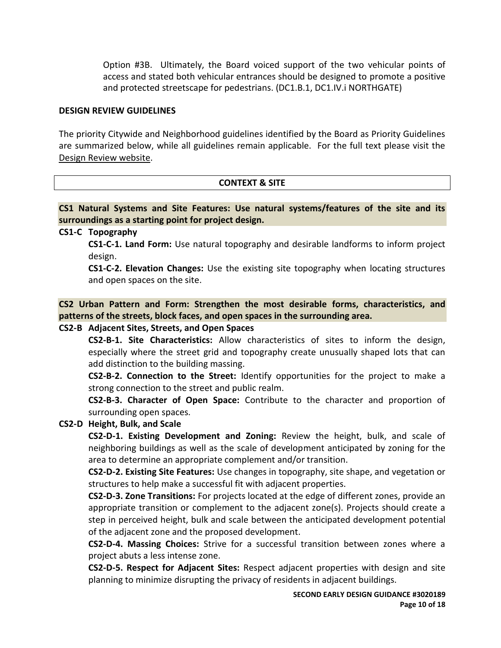Option #3B. Ultimately, the Board voiced support of the two vehicular points of access and stated both vehicular entrances should be designed to promote a positive and protected streetscape for pedestrians. (DC1.B.1, DC1.IV.i NORTHGATE)

#### **DESIGN REVIEW GUIDELINES**

The priority Citywide and Neighborhood guidelines identified by the Board as Priority Guidelines are summarized below, while all guidelines remain applicable. For the full text please visit the [Design Review website.](https://www.seattle.gov/dpd/aboutus/whoweare/designreview/designguidelines/default.htm)

### **CONTEXT & SITE**

**CS1 Natural Systems and Site Features: Use natural systems/features of the site and its surroundings as a starting point for project design.**

### **CS1-C Topography**

**CS1-C-1. Land Form:** Use natural topography and desirable landforms to inform project design.

**CS1-C-2. Elevation Changes:** Use the existing site topography when locating structures and open spaces on the site.

**CS2 Urban Pattern and Form: Strengthen the most desirable forms, characteristics, and patterns of the streets, block faces, and open spaces in the surrounding area.**

### **CS2-B Adjacent Sites, Streets, and Open Spaces**

**CS2-B-1. Site Characteristics:** Allow characteristics of sites to inform the design, especially where the street grid and topography create unusually shaped lots that can add distinction to the building massing.

**CS2-B-2. Connection to the Street:** Identify opportunities for the project to make a strong connection to the street and public realm.

**CS2-B-3. Character of Open Space:** Contribute to the character and proportion of surrounding open spaces.

### **CS2-D Height, Bulk, and Scale**

**CS2-D-1. Existing Development and Zoning:** Review the height, bulk, and scale of neighboring buildings as well as the scale of development anticipated by zoning for the area to determine an appropriate complement and/or transition.

**CS2-D-2. Existing Site Features:** Use changes in topography, site shape, and vegetation or structures to help make a successful fit with adjacent properties.

**CS2-D-3. Zone Transitions:** For projects located at the edge of different zones, provide an appropriate transition or complement to the adjacent zone(s). Projects should create a step in perceived height, bulk and scale between the anticipated development potential of the adjacent zone and the proposed development.

**CS2-D-4. Massing Choices:** Strive for a successful transition between zones where a project abuts a less intense zone.

**CS2-D-5. Respect for Adjacent Sites:** Respect adjacent properties with design and site planning to minimize disrupting the privacy of residents in adjacent buildings.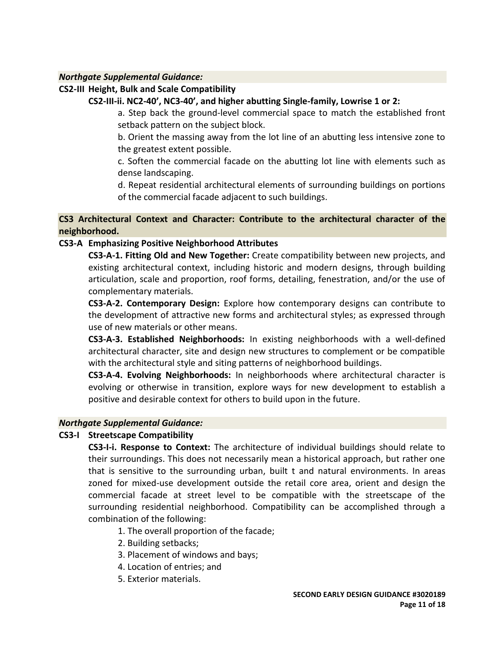### *Northgate Supplemental Guidance:*

### **CS2-III Height, Bulk and Scale Compatibility**

### **CS2-III-ii. NC2-40', NC3-40', and higher abutting Single-family, Lowrise 1 or 2:**

a. Step back the ground-level commercial space to match the established front setback pattern on the subject block.

b. Orient the massing away from the lot line of an abutting less intensive zone to the greatest extent possible.

c. Soften the commercial facade on the abutting lot line with elements such as dense landscaping.

d. Repeat residential architectural elements of surrounding buildings on portions of the commercial facade adjacent to such buildings.

# **CS3 Architectural Context and Character: Contribute to the architectural character of the neighborhood.**

### **CS3-A Emphasizing Positive Neighborhood Attributes**

**CS3-A-1. Fitting Old and New Together:** Create compatibility between new projects, and existing architectural context, including historic and modern designs, through building articulation, scale and proportion, roof forms, detailing, fenestration, and/or the use of complementary materials.

**CS3-A-2. Contemporary Design:** Explore how contemporary designs can contribute to the development of attractive new forms and architectural styles; as expressed through use of new materials or other means.

**CS3-A-3. Established Neighborhoods:** In existing neighborhoods with a well-defined architectural character, site and design new structures to complement or be compatible with the architectural style and siting patterns of neighborhood buildings.

**CS3-A-4. Evolving Neighborhoods:** In neighborhoods where architectural character is evolving or otherwise in transition, explore ways for new development to establish a positive and desirable context for others to build upon in the future.

### *Northgate Supplemental Guidance:*

# **CS3-I Streetscape Compatibility**

**CS3-I-i. Response to Context:** The architecture of individual buildings should relate to their surroundings. This does not necessarily mean a historical approach, but rather one that is sensitive to the surrounding urban, built t and natural environments. In areas zoned for mixed-use development outside the retail core area, orient and design the commercial facade at street level to be compatible with the streetscape of the surrounding residential neighborhood. Compatibility can be accomplished through a combination of the following:

1. The overall proportion of the facade;

- 2. Building setbacks;
- 3. Placement of windows and bays;
- 4. Location of entries; and
- 5. Exterior materials.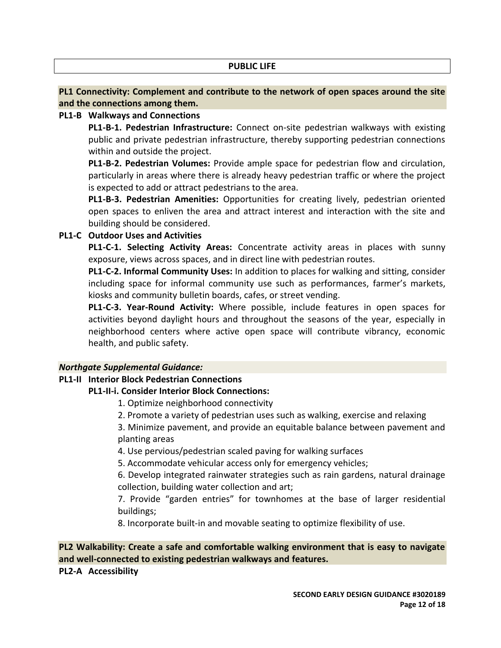#### **PUBLIC LIFE**

# **PL1 Connectivity: Complement and contribute to the network of open spaces around the site and the connections among them.**

### **PL1-B Walkways and Connections**

**PL1-B-1. Pedestrian Infrastructure:** Connect on-site pedestrian walkways with existing public and private pedestrian infrastructure, thereby supporting pedestrian connections within and outside the project.

**PL1-B-2. Pedestrian Volumes:** Provide ample space for pedestrian flow and circulation, particularly in areas where there is already heavy pedestrian traffic or where the project is expected to add or attract pedestrians to the area.

**PL1-B-3. Pedestrian Amenities:** Opportunities for creating lively, pedestrian oriented open spaces to enliven the area and attract interest and interaction with the site and building should be considered.

### **PL1-C Outdoor Uses and Activities**

**PL1-C-1. Selecting Activity Areas:** Concentrate activity areas in places with sunny exposure, views across spaces, and in direct line with pedestrian routes.

**PL1-C-2. Informal Community Uses:** In addition to places for walking and sitting, consider including space for informal community use such as performances, farmer's markets, kiosks and community bulletin boards, cafes, or street vending.

**PL1-C-3. Year-Round Activity:** Where possible, include features in open spaces for activities beyond daylight hours and throughout the seasons of the year, especially in neighborhood centers where active open space will contribute vibrancy, economic health, and public safety.

### *Northgate Supplemental Guidance:*

### **PL1-II Interior Block Pedestrian Connections**

### **PL1-II-i. Consider Interior Block Connections:**

1. Optimize neighborhood connectivity

2. Promote a variety of pedestrian uses such as walking, exercise and relaxing

3. Minimize pavement, and provide an equitable balance between pavement and planting areas

4. Use pervious/pedestrian scaled paving for walking surfaces

5. Accommodate vehicular access only for emergency vehicles;

6. Develop integrated rainwater strategies such as rain gardens, natural drainage collection, building water collection and art;

7. Provide "garden entries" for townhomes at the base of larger residential buildings;

8. Incorporate built-in and movable seating to optimize flexibility of use.

# **PL2 Walkability: Create a safe and comfortable walking environment that is easy to navigate and well-connected to existing pedestrian walkways and features.**

### **PL2-A Accessibility**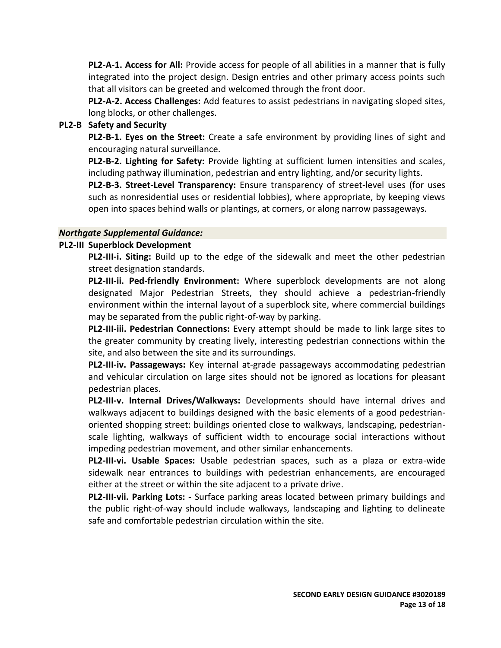**PL2-A-1. Access for All:** Provide access for people of all abilities in a manner that is fully integrated into the project design. Design entries and other primary access points such that all visitors can be greeted and welcomed through the front door.

**PL2-A-2. Access Challenges:** Add features to assist pedestrians in navigating sloped sites, long blocks, or other challenges.

#### **PL2-B Safety and Security**

**PL2-B-1. Eyes on the Street:** Create a safe environment by providing lines of sight and encouraging natural surveillance.

**PL2-B-2. Lighting for Safety:** Provide lighting at sufficient lumen intensities and scales, including pathway illumination, pedestrian and entry lighting, and/or security lights.

**PL2-B-3. Street-Level Transparency:** Ensure transparency of street-level uses (for uses such as nonresidential uses or residential lobbies), where appropriate, by keeping views open into spaces behind walls or plantings, at corners, or along narrow passageways.

#### *Northgate Supplemental Guidance:*

#### **PL2-III Superblock Development**

**PL2-III-i. Siting:** Build up to the edge of the sidewalk and meet the other pedestrian street designation standards.

**PL2-III-ii. Ped-friendly Environment:** Where superblock developments are not along designated Major Pedestrian Streets, they should achieve a pedestrian-friendly environment within the internal layout of a superblock site, where commercial buildings may be separated from the public right-of-way by parking.

**PL2-III-iii. Pedestrian Connections:** Every attempt should be made to link large sites to the greater community by creating lively, interesting pedestrian connections within the site, and also between the site and its surroundings.

**PL2-III-iv. Passageways:** Key internal at-grade passageways accommodating pedestrian and vehicular circulation on large sites should not be ignored as locations for pleasant pedestrian places.

**PL2-III-v. Internal Drives/Walkways:** Developments should have internal drives and walkways adjacent to buildings designed with the basic elements of a good pedestrianoriented shopping street: buildings oriented close to walkways, landscaping, pedestrianscale lighting, walkways of sufficient width to encourage social interactions without impeding pedestrian movement, and other similar enhancements.

**PL2-III-vi. Usable Spaces:** Usable pedestrian spaces, such as a plaza or extra-wide sidewalk near entrances to buildings with pedestrian enhancements, are encouraged either at the street or within the site adjacent to a private drive.

**PL2-III-vii. Parking Lots:** - Surface parking areas located between primary buildings and the public right-of-way should include walkways, landscaping and lighting to delineate safe and comfortable pedestrian circulation within the site.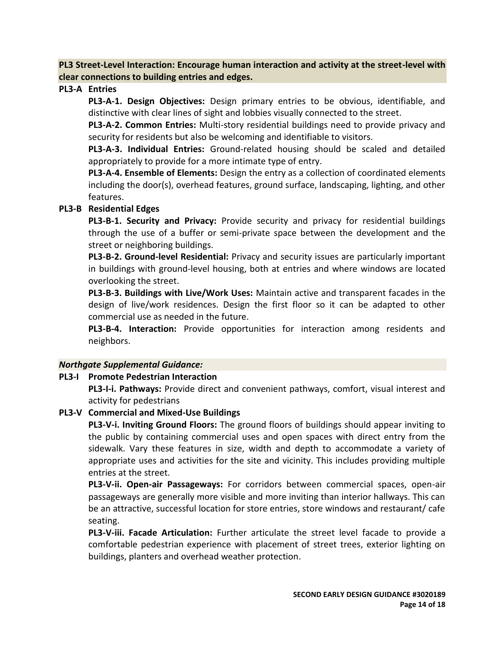**PL3 Street-Level Interaction: Encourage human interaction and activity at the street-level with clear connections to building entries and edges.**

**PL3-A Entries**

**PL3-A-1. Design Objectives:** Design primary entries to be obvious, identifiable, and distinctive with clear lines of sight and lobbies visually connected to the street.

**PL3-A-2. Common Entries:** Multi-story residential buildings need to provide privacy and security for residents but also be welcoming and identifiable to visitors.

**PL3-A-3. Individual Entries:** Ground-related housing should be scaled and detailed appropriately to provide for a more intimate type of entry.

**PL3-A-4. Ensemble of Elements:** Design the entry as a collection of coordinated elements including the door(s), overhead features, ground surface, landscaping, lighting, and other features.

### **PL3-B Residential Edges**

**PL3-B-1. Security and Privacy:** Provide security and privacy for residential buildings through the use of a buffer or semi-private space between the development and the street or neighboring buildings.

**PL3-B-2. Ground-level Residential:** Privacy and security issues are particularly important in buildings with ground-level housing, both at entries and where windows are located overlooking the street.

**PL3-B-3. Buildings with Live/Work Uses:** Maintain active and transparent facades in the design of live/work residences. Design the first floor so it can be adapted to other commercial use as needed in the future.

**PL3-B-4. Interaction:** Provide opportunities for interaction among residents and neighbors.

### *Northgate Supplemental Guidance:*

# **PL3-I Promote Pedestrian Interaction**

**PL3-I-i. Pathways:** Provide direct and convenient pathways, comfort, visual interest and activity for pedestrians

### **PL3-V Commercial and Mixed-Use Buildings**

**PL3-V-i. Inviting Ground Floors:** The ground floors of buildings should appear inviting to the public by containing commercial uses and open spaces with direct entry from the sidewalk. Vary these features in size, width and depth to accommodate a variety of appropriate uses and activities for the site and vicinity. This includes providing multiple entries at the street.

**PL3-V-ii. Open-air Passageways:** For corridors between commercial spaces, open-air passageways are generally more visible and more inviting than interior hallways. This can be an attractive, successful location for store entries, store windows and restaurant/ cafe seating.

**PL3-V-iii. Facade Articulation:** Further articulate the street level facade to provide a comfortable pedestrian experience with placement of street trees, exterior lighting on buildings, planters and overhead weather protection.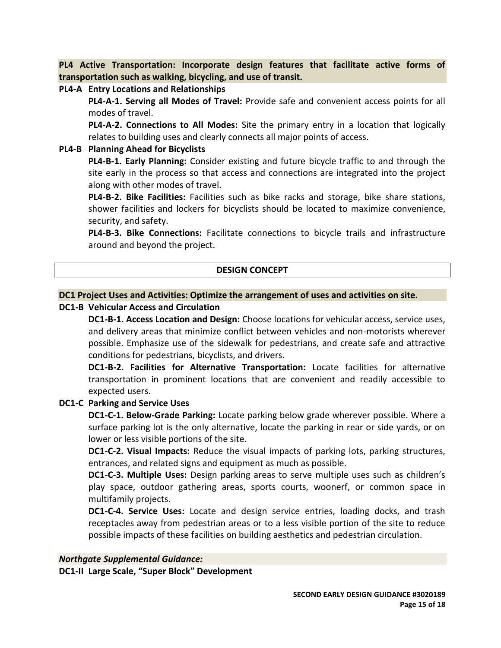**PL4 Active Transportation: Incorporate design features that facilitate active forms of transportation such as walking, bicycling, and use of transit.**

#### **PL4-A Entry Locations and Relationships**

**PL4-A-1. Serving all Modes of Travel:** Provide safe and convenient access points for all modes of travel.

**PL4-A-2. Connections to All Modes:** Site the primary entry in a location that logically relates to building uses and clearly connects all major points of access.

#### **PL4-B Planning Ahead for Bicyclists**

**PL4-B-1. Early Planning:** Consider existing and future bicycle traffic to and through the site early in the process so that access and connections are integrated into the project along with other modes of travel.

**PL4-B-2. Bike Facilities:** Facilities such as bike racks and storage, bike share stations, shower facilities and lockers for bicyclists should be located to maximize convenience, security, and safety.

**PL4-B-3. Bike Connections:** Facilitate connections to bicycle trails and infrastructure around and beyond the project.

### **DESIGN CONCEPT**

#### **DC1 Project Uses and Activities: Optimize the arrangement of uses and activities on site.**

### **DC1-B Vehicular Access and Circulation**

**DC1-B-1. Access Location and Design:** Choose locations for vehicular access, service uses, and delivery areas that minimize conflict between vehicles and non-motorists wherever possible. Emphasize use of the sidewalk for pedestrians, and create safe and attractive conditions for pedestrians, bicyclists, and drivers.

**DC1-B-2. Facilities for Alternative Transportation:** Locate facilities for alternative transportation in prominent locations that are convenient and readily accessible to expected users.

### **DC1-C Parking and Service Uses**

**DC1-C-1. Below-Grade Parking:** Locate parking below grade wherever possible. Where a surface parking lot is the only alternative, locate the parking in rear or side yards, or on lower or less visible portions of the site.

**DC1-C-2. Visual Impacts:** Reduce the visual impacts of parking lots, parking structures, entrances, and related signs and equipment as much as possible.

**DC1-C-3. Multiple Uses:** Design parking areas to serve multiple uses such as children's play space, outdoor gathering areas, sports courts, woonerf, or common space in multifamily projects.

**DC1-C-4. Service Uses:** Locate and design service entries, loading docks, and trash receptacles away from pedestrian areas or to a less visible portion of the site to reduce possible impacts of these facilities on building aesthetics and pedestrian circulation.

#### *Northgate Supplemental Guidance:*

**DC1-II Large Scale, "Super Block" Development**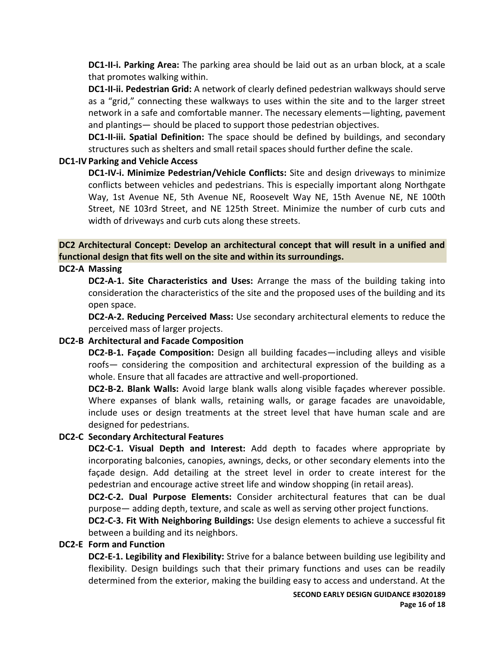**DC1-II-i. Parking Area:** The parking area should be laid out as an urban block, at a scale that promotes walking within.

**DC1-II-ii. Pedestrian Grid:** A network of clearly defined pedestrian walkways should serve as a "grid," connecting these walkways to uses within the site and to the larger street network in a safe and comfortable manner. The necessary elements—lighting, pavement and plantings— should be placed to support those pedestrian objectives.

**DC1-II-iii. Spatial Definition:** The space should be defined by buildings, and secondary structures such as shelters and small retail spaces should further define the scale.

### **DC1-IV Parking and Vehicle Access**

**DC1-IV-i. Minimize Pedestrian/Vehicle Conflicts:** Site and design driveways to minimize conflicts between vehicles and pedestrians. This is especially important along Northgate Way, 1st Avenue NE, 5th Avenue NE, Roosevelt Way NE, 15th Avenue NE, NE 100th Street, NE 103rd Street, and NE 125th Street. Minimize the number of curb cuts and width of driveways and curb cuts along these streets.

**DC2 Architectural Concept: Develop an architectural concept that will result in a unified and functional design that fits well on the site and within its surroundings.**

#### **DC2-A Massing**

**DC2-A-1. Site Characteristics and Uses:** Arrange the mass of the building taking into consideration the characteristics of the site and the proposed uses of the building and its open space.

**DC2-A-2. Reducing Perceived Mass:** Use secondary architectural elements to reduce the perceived mass of larger projects.

### **DC2-B Architectural and Facade Composition**

**DC2-B-1. Façade Composition:** Design all building facades—including alleys and visible roofs— considering the composition and architectural expression of the building as a whole. Ensure that all facades are attractive and well-proportioned.

**DC2-B-2. Blank Walls:** Avoid large blank walls along visible façades wherever possible. Where expanses of blank walls, retaining walls, or garage facades are unavoidable, include uses or design treatments at the street level that have human scale and are designed for pedestrians.

### **DC2-C Secondary Architectural Features**

**DC2-C-1. Visual Depth and Interest:** Add depth to facades where appropriate by incorporating balconies, canopies, awnings, decks, or other secondary elements into the façade design. Add detailing at the street level in order to create interest for the pedestrian and encourage active street life and window shopping (in retail areas).

**DC2-C-2. Dual Purpose Elements:** Consider architectural features that can be dual purpose— adding depth, texture, and scale as well as serving other project functions.

**DC2-C-3. Fit With Neighboring Buildings:** Use design elements to achieve a successful fit between a building and its neighbors.

#### **DC2-E Form and Function**

**DC2-E-1. Legibility and Flexibility:** Strive for a balance between building use legibility and flexibility. Design buildings such that their primary functions and uses can be readily determined from the exterior, making the building easy to access and understand. At the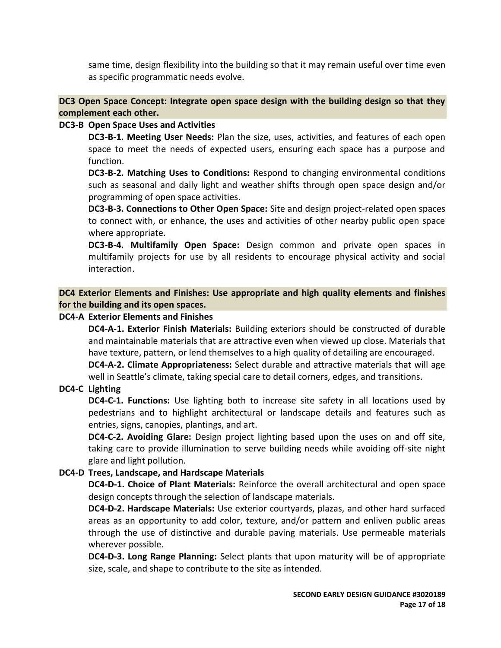same time, design flexibility into the building so that it may remain useful over time even as specific programmatic needs evolve.

### **DC3 Open Space Concept: Integrate open space design with the building design so that they complement each other.**

### **DC3-B Open Space Uses and Activities**

**DC3-B-1. Meeting User Needs:** Plan the size, uses, activities, and features of each open space to meet the needs of expected users, ensuring each space has a purpose and function.

**DC3-B-2. Matching Uses to Conditions:** Respond to changing environmental conditions such as seasonal and daily light and weather shifts through open space design and/or programming of open space activities.

**DC3-B-3. Connections to Other Open Space:** Site and design project-related open spaces to connect with, or enhance, the uses and activities of other nearby public open space where appropriate.

**DC3-B-4. Multifamily Open Space:** Design common and private open spaces in multifamily projects for use by all residents to encourage physical activity and social interaction.

**DC4 Exterior Elements and Finishes: Use appropriate and high quality elements and finishes for the building and its open spaces.**

### **DC4-A Exterior Elements and Finishes**

**DC4-A-1. Exterior Finish Materials:** Building exteriors should be constructed of durable and maintainable materials that are attractive even when viewed up close. Materials that have texture, pattern, or lend themselves to a high quality of detailing are encouraged.

**DC4-A-2. Climate Appropriateness:** Select durable and attractive materials that will age well in Seattle's climate, taking special care to detail corners, edges, and transitions.

# **DC4-C Lighting**

**DC4-C-1. Functions:** Use lighting both to increase site safety in all locations used by pedestrians and to highlight architectural or landscape details and features such as entries, signs, canopies, plantings, and art.

**DC4-C-2. Avoiding Glare:** Design project lighting based upon the uses on and off site, taking care to provide illumination to serve building needs while avoiding off-site night glare and light pollution.

### **DC4-D Trees, Landscape, and Hardscape Materials**

**DC4-D-1. Choice of Plant Materials:** Reinforce the overall architectural and open space design concepts through the selection of landscape materials.

**DC4-D-2. Hardscape Materials:** Use exterior courtyards, plazas, and other hard surfaced areas as an opportunity to add color, texture, and/or pattern and enliven public areas through the use of distinctive and durable paving materials. Use permeable materials wherever possible.

**DC4-D-3. Long Range Planning:** Select plants that upon maturity will be of appropriate size, scale, and shape to contribute to the site as intended.